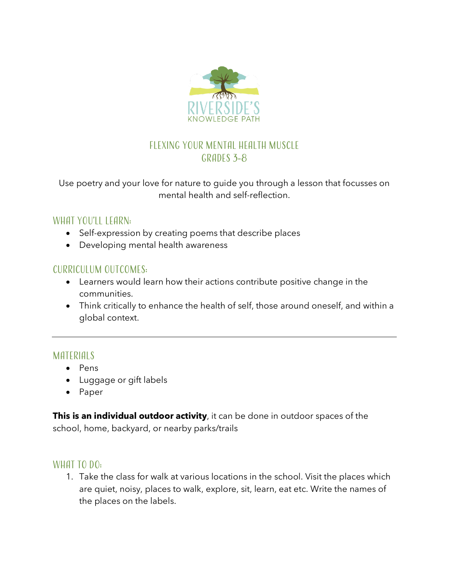

## Flexing your Mental Health Muscle GRADES 3-8

Use poetry and your love for nature to guide you through a lesson that focusses on mental health and self-reflection.

#### WHAT YOU'LL LEARN:

- Self-expression by creating poems that describe places
- Developing mental health awareness

#### Curriculum Outcomes:

- Learners would learn how their actions contribute positive change in the communities.
- Think critically to enhance the health of self, those around oneself, and within a global context.

#### **MATERIALS**

- Pens
- Luggage or gift labels
- Paper

**This is an individual outdoor activity**, it can be done in outdoor spaces of the school, home, backyard, or nearby parks/trails

#### WHAT TO DO:

1. Take the class for walk at various locations in the school. Visit the places which are quiet, noisy, places to walk, explore, sit, learn, eat etc. Write the names of the places on the labels.